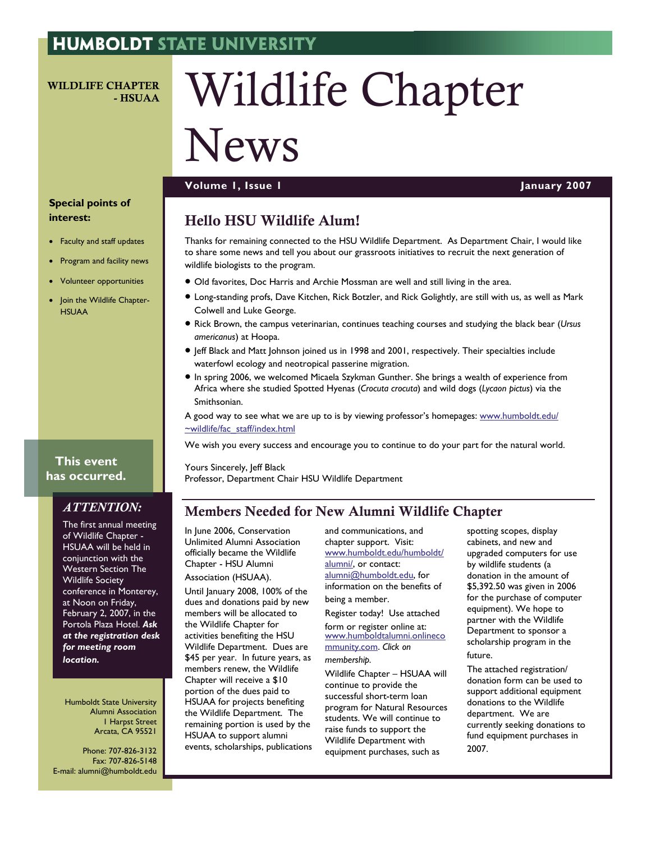#### **HUMBOLDT STATE UNIVERSITY**

WILDLIFE CHAPTER - HSUAA

# Wildlife Chapter

## News

#### **Volume 1, Issue 1 January 2007**

#### **Special points of interest:**

- Faculty and staff updates
- Program and facility news
- Volunteer opportunities
- Join the Wildlife Chapter-**HSUAA**

#### **This event has occurred.**

#### *ATTENTION:*

The first annual meeting of Wildlife Chapter - HSUAA will be held in conjunction with the Western Section The Wildlife Society conference in Monterey, at Noon on Friday, February 2, 2007, in the Portola Plaza Hotel. *Ask at the registration desk for meeting room location.* 

Humboldt State University Alumni Association 1 Harpst Street Arcata, CA 95521

Phone: 707-826-3132 Fax: 707-826-5148 E-mail: alumni@humboldt.edu

### Hello HSU Wildlife Alum!

Thanks for remaining connected to the HSU Wildlife Department. As Department Chair, I would like to share some news and tell you about our grassroots initiatives to recruit the next generation of wildlife biologists to the program.

- Old favorites, Doc Harris and Archie Mossman are well and still living in the area.
- Long-standing profs, Dave Kitchen, Rick Botzler, and Rick Golightly, are still with us, as well as Mark Colwell and Luke George.
- Rick Brown, the campus veterinarian, continues teaching courses and studying the black bear (*Ursus americanus*) at Hoopa.
- Jeff Black and Matt Johnson joined us in 1998 and 2001, respectively. Their specialties include waterfowl ecology and neotropical passerine migration.
- In spring 2006, we welcomed Micaela Szykman Gunther. She brings a wealth of experience from Africa where she studied Spotted Hyenas (*Crocuta crocuta*) and wild dogs (*Lycaon pictus*) via the Smithsonian.
- A good way to see what we are up to is by viewing professor's homepages: [www.humboldt.edu/](http://www.humboldt.edu/~wildlife/fac_staff/index.html) [~wildlife/fac\\_staff/index.html](http://www.humboldt.edu/~wildlife/fac_staff/index.html)

We wish you every success and encourage you to continue to do your part for the natural world.

Yours Sincerely, Jeff Black Professor, Department Chair HSU Wildlife Department

#### Members Needed for New Alumni Wildlife Chapter

In June 2006, Conservation Unlimited Alumni Association officially became the Wildlife Chapter - HSU Alumni Association (HSUAA).

Until January 2008, 100% of the dues and donations paid by new members will be allocated to the Wildlife Chapter for activities benefiting the HSU Wildlife Department. Dues are \$45 per year. In future years, as members renew, the Wildlife Chapter will receive a \$10 portion of the dues paid to HSUAA for projects benefiting the Wildlife Department. The remaining portion is used by the HSUAA to support alumni events, scholarships, publications and communications, and chapter support. Visit: www.humboldt.edu/humboldt/ alumni/, or contact: [alumni@humboldt.edu](mailto:alumni@humboldt.edu), for information on the benefits of being a member.

Register today! Use attached

form or register online at: [www.humboldtalumni.onlineco](http://www.humboldtalumni.onlinecommunity.com/cgi-admin/cupuser.dll/genfill?bid=&t=admin_cup_user.htm&f=0) [mmunity.com](http://www.humboldtalumni.onlinecommunity.com/cgi-admin/cupuser.dll/genfill?bid=&t=admin_cup_user.htm&f=0). *Click on* 

#### *membership.*

Wildlife Chapter – HSUAA will continue to provide the successful short-term loan program for Natural Resources students. We will continue to raise funds to support the Wildlife Department with equipment purchases, such as

spotting scopes, display cabinets, and new and upgraded computers for use by wildlife students (a donation in the amount of \$5,392.50 was given in 2006 for the purchase of computer equipment). We hope to partner with the Wildlife Department to sponsor a scholarship program in the future.

The attached registration/ donation form can be used to support additional equipment donations to the Wildlife department. We are currently seeking donations to fund equipment purchases in 2007.